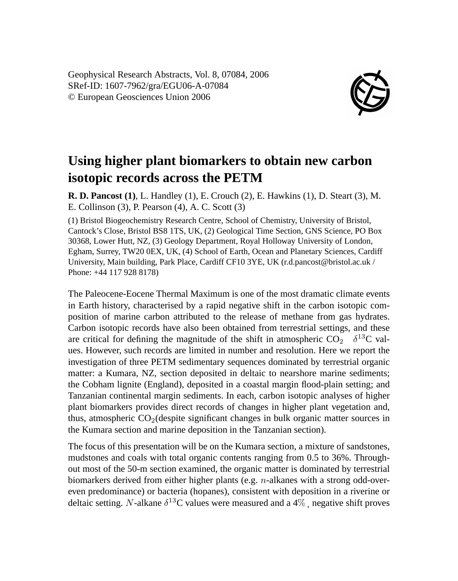Geophysical Research Abstracts, Vol. 8, 07084, 2006 SRef-ID: 1607-7962/gra/EGU06-A-07084 © European Geosciences Union 2006



## **Using higher plant biomarkers to obtain new carbon isotopic records across the PETM**

**R. D. Pancost (1)**, L. Handley (1), E. Crouch (2), E. Hawkins (1), D. Steart (3), M. E. Collinson (3), P. Pearson (4), A. C. Scott (3)

(1) Bristol Biogeochemistry Research Centre, School of Chemistry, University of Bristol, Cantock's Close, Bristol BS8 1TS, UK, (2) Geological Time Section, GNS Science, PO Box 30368, Lower Hutt, NZ, (3) Geology Department, Royal Holloway University of London, Egham, Surrey, TW20 0EX, UK, (4) School of Earth, Ocean and Planetary Sciences, Cardiff University, Main building, Park Place, Cardiff CF10 3YE, UK (r.d.pancost@bristol.ac.uk / Phone: +44 117 928 8178)

The Paleocene-Eocene Thermal Maximum is one of the most dramatic climate events in Earth history, characterised by a rapid negative shift in the carbon isotopic composition of marine carbon attributed to the release of methane from gas hydrates. Carbon isotopic records have also been obtained from terrestrial settings, and these are critical for defining the magnitude of the shift in atmospheric  $CO_2 \rightarrow \delta^{13}C$  values. However, such records are limited in number and resolution. Here we report the investigation of three PETM sedimentary sequences dominated by terrestrial organic matter: a Kumara, NZ, section deposited in deltaic to nearshore marine sediments; the Cobham lignite (England), deposited in a coastal margin flood-plain setting; and Tanzanian continental margin sediments. In each, carbon isotopic analyses of higher plant biomarkers provides direct records of changes in higher plant vegetation and, thus, atmospheric  $CO<sub>2</sub>(despite significant changes in bulk organic matter sources in$ the Kumara section and marine deposition in the Tanzanian section).

The focus of this presentation will be on the Kumara section, a mixture of sandstones, mudstones and coals with total organic contents ranging from 0.5 to 36%. Throughout most of the 50-m section examined, the organic matter is dominated by terrestrial biomarkers derived from either higher plants (e.g. n-alkanes with a strong odd-overeven predominance) or bacteria (hopanes), consistent with deposition in a riverine or deltaic setting. N-alkane  $\delta^{13}$ C values were measured and a 4%, negative shift proves